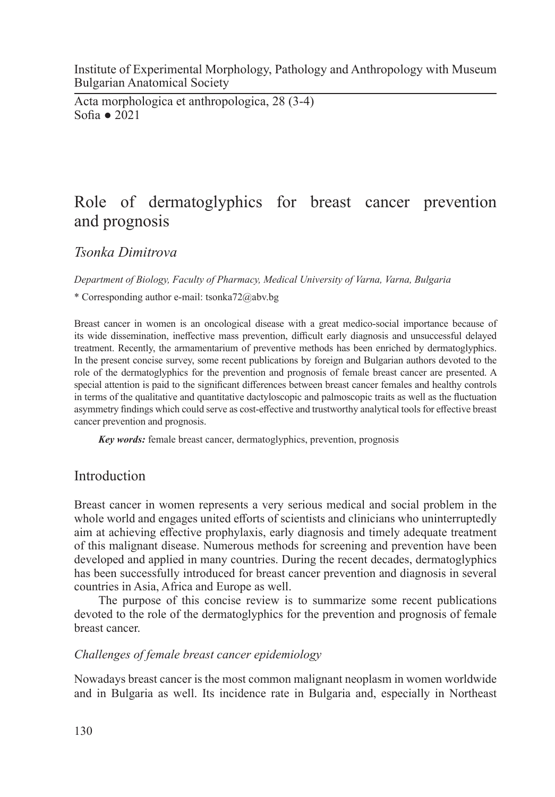Institute of Experimental Morphology, Pathology and Anthropology with Museum Bulgarian Anatomical Society

Acta morphologica et anthropologica, 28 (3-4) Sofia ● 2021

# Role of dermatoglyphics for breast cancer prevention and prognosis

*Tsonka Dimitrova*

*Department of Biology, Faculty of Pharmacy, Medical University of Varna, Varna, Bulgaria*

\* Corresponding author e-mail: tsonka72@abv.bg

Breast cancer in women is an oncological disease with a great medico-social importance because of its wide dissemination, ineffective mass prevention, difficult early diagnosis and unsuccessful delayed treatment. Recently, the armamentarium of preventive methods has been enriched by dermatoglyphics. In the present concise survey, some recent publications by foreign and Bulgarian authors devoted to the role of the dermatoglyphics for the prevention and prognosis of female breast cancer are presented. A special attention is paid to the significant differences between breast cancer females and healthy controls in terms of the qualitative and quantitative dactyloscopic and palmoscopic traits as well as the fluctuation asymmetry findings which could serve as cost-effective and trustworthy analytical tools for effective breast cancer prevention and prognosis.

*Key words:* female breast cancer, dermatoglyphics, prevention, prognosis

## Introduction

Breast cancer in women represents a very serious medical and social problem in the whole world and engages united efforts of scientists and clinicians who uninterruptedly aim at achieving effective prophylaxis, early diagnosis and timely adequate treatment of this malignant disease. Numerous methods for screening and prevention have been developed and applied in many countries. During the recent decades, dermatoglyphics has been successfully introduced for breast cancer prevention and diagnosis in several countries in Asia, Africa and Europe as well.

The purpose of this concise review is to summarize some recent publications devoted to the role of the dermatoglyphics for the prevention and prognosis of female breast cancer.

### *Challenges of female breast cancer epidemiology*

Nowadays breast cancer is the most common malignant neoplasm in women worldwide and in Bulgaria as well. Its incidence rate in Bulgaria and, especially in Northeast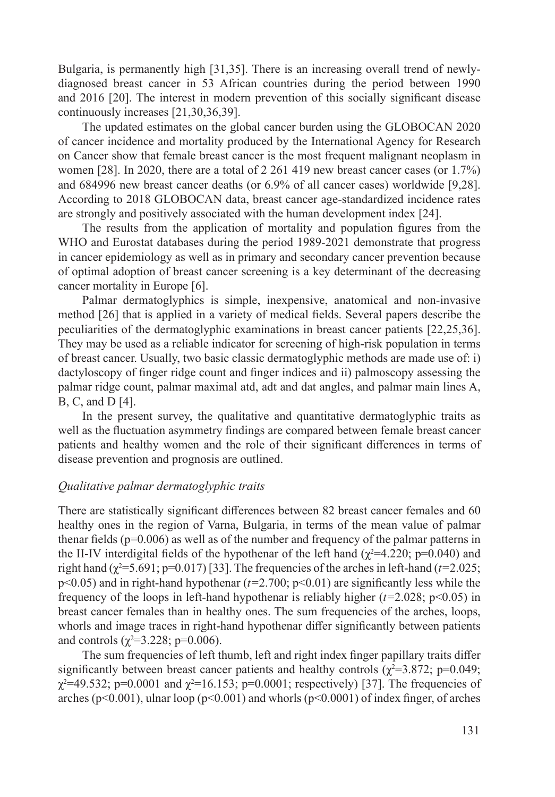Bulgaria, is permanently high [31,35]. There is an increasing overall trend of newlydiagnosed breast cancer in 53 African countries during the period between 1990 and 2016 [20]. The interest in modern prevention of this socially significant disease continuously increases [21,30,36,39].

The updated estimates on the global cancer burden using the GLOBOCAN 2020 of cancer incidence and mortality produced by the International Agency for Research on Cancer show that female breast cancer is the most frequent malignant neoplasm in women [28]. In 2020, there are a total of 2 261 419 new breast cancer cases (or 1.7%) and 684996 new breast cancer deaths (or 6.9% of all cancer cases) worldwide [9,28]. According to 2018 GLOBOCAN data, breast cancer age-standardized incidence rates are strongly and positively associated with the human development index [24].

The results from the application of mortality and population figures from the WHO and Eurostat databases during the period 1989-2021 demonstrate that progress in cancer epidemiology as well as in primary and secondary cancer prevention because of optimal adoption of breast cancer screening is a key determinant of the decreasing cancer mortality in Europe [6].

Palmar dermatoglyphics is simple, inexpensive, anatomical and non-invasive method [26] that is applied in a variety of medical fields. Several papers describe the peculiarities of the dermatoglyphic examinations in breast cancer patients [22,25,36]. They may be used as a reliable indicator for screening of high-risk population in terms of breast cancer. Usually, two basic classic dermatoglyphic methods are made use of: i) dactyloscopy of finger ridge count and finger indices and ii) palmoscopy assessing the palmar ridge count, palmar maximal atd, adt and dat angles, and palmar main lines A, B, C, and D [4].

In the present survey, the qualitative and quantitative dermatoglyphic traits as well as the fluctuation asymmetry findings are compared between female breast cancer patients and healthy women and the role of their significant differences in terms of disease prevention and prognosis are outlined.

#### *Qualitative palmar dermatoglyphic traits*

There are statistically significant differences between 82 breast cancer females and 60 healthy ones in the region of Varna, Bulgaria, in terms of the mean value of palmar thenar fields  $(p=0.006)$  as well as of the number and frequency of the palmar patterns in the II-IV interdigital fields of the hypothenar of the left hand ( $\chi^2$ =4.220; p=0.040) and right hand  $(\chi^2=5.691; p=0.017)$  [33]. The frequencies of the arches in left-hand ( $t=2.025$ ;  $p \le 0.05$ ) and in right-hand hypothenar ( $t=2.700$ ;  $p \le 0.01$ ) are significantly less while the frequency of the loops in left-hand hypothenar is reliably higher  $(t=2.028; p<0.05)$  in breast cancer females than in healthy ones. The sum frequencies of the arches, loops, whorls and image traces in right-hand hypothenar differ significantly between patients and controls ( $\chi^2$ =3.228; p=0.006).

The sum frequencies of left thumb, left and right index finger papillary traits differ significantly between breast cancer patients and healthy controls ( $\chi^2$ =3.872; p=0.049;  $χ²=49.532$ ; p=0.0001 and  $χ²=16.153$ ; p=0.0001; respectively) [37]. The frequencies of arches ( $p<0.001$ ), ulnar loop ( $p<0.001$ ) and whorls ( $p<0.0001$ ) of index finger, of arches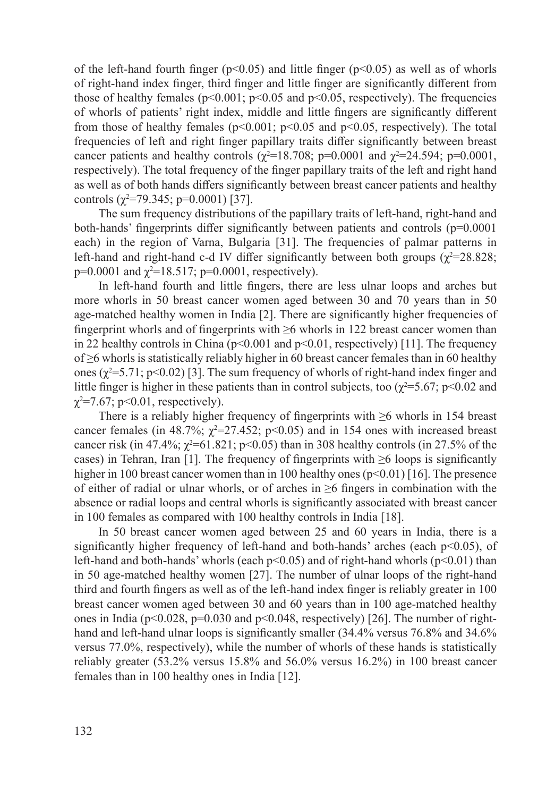of the left-hand fourth finger ( $p<0.05$ ) and little finger ( $p<0.05$ ) as well as of whorls of right-hand index finger, third finger and little finger are significantly different from those of healthy females ( $p<0.001$ ;  $p<0.05$  and  $p<0.05$ , respectively). The frequencies of whorls of patients' right index, middle and little fingers are significantly different from those of healthy females ( $p<0.001$ ;  $p<0.05$  and  $p<0.05$ , respectively). The total frequencies of left and right finger papillary traits differ significantly between breast cancer patients and healthy controls ( $\chi^2$ =18.708; p=0.0001 and  $\chi^2$ =24.594; p=0.0001, respectively). The total frequency of the finger papillary traits of the left and right hand as well as of both hands differs significantly between breast cancer patients and healthy controls ( $\chi^2$ =79.345; p=0.0001) [37].

The sum frequency distributions of the papillary traits of left-hand, right-hand and both-hands' fingerprints differ significantly between patients and controls (p=0.0001 each) in the region of Varna, Bulgaria [31]. The frequencies of palmar patterns in left-hand and right-hand c-d IV differ significantly between both groups  $(\chi^2=28.828;$  $p=0.0001$  and  $\chi^2=18.517$ ;  $p=0.0001$ , respectively).

In left-hand fourth and little fingers, there are less ulnar loops and arches but more whorls in 50 breast cancer women aged between 30 and 70 years than in 50 age-matched healthy women in India [2]. There are significantly higher frequencies of fingerprint whorls and of fingerprints with ≥6 whorls in 122 breast cancer women than in 22 healthy controls in China ( $p<0.001$  and  $p<0.01$ , respectively) [11]. The frequency of ≥6 whorls is statistically reliably higher in 60 breast cancer females than in 60 healthy ones ( $\chi^2$ =5.71; p<0.02) [3]. The sum frequency of whorls of right-hand index finger and little finger is higher in these patients than in control subjects, too ( $\chi^2 = 5.67$ ; p<0.02 and  $\chi^2$ =7.67; p<0.01, respectively).

There is a reliably higher frequency of fingerprints with  $\geq 6$  whorls in 154 breast cancer females (in 48.7%;  $\chi^2$ =27.452; p<0.05) and in 154 ones with increased breast cancer risk (in 47.4%;  $\chi^2$ =61.821; p<0.05) than in 308 healthy controls (in 27.5% of the cases) in Tehran, Iran [1]. The frequency of fingerprints with  $\geq 6$  loops is significantly higher in 100 breast cancer women than in 100 healthy ones  $(p<0.01)$  [16]. The presence of either of radial or ulnar whorls, or of arches in ≥6 fingers in combination with the absence or radial loops and central whorls is significantly associated with breast cancer in 100 females as compared with 100 healthy controls in India [18].

In 50 breast cancer women aged between 25 and 60 years in India, there is a significantly higher frequency of left-hand and both-hands' arches (each p<0.05), of left-hand and both-hands' whorls (each  $p<0.05$ ) and of right-hand whorls ( $p<0.01$ ) than in 50 age-matched healthy women [27]. The number of ulnar loops of the right-hand third and fourth fingers as well as of the left-hand index finger is reliably greater in 100 breast cancer women aged between 30 and 60 years than in 100 age-matched healthy ones in India ( $p<0.028$ ,  $p=0.030$  and  $p<0.048$ , respectively) [26]. The number of righthand and left-hand ulnar loops is significantly smaller (34.4% versus 76.8% and 34.6% versus 77.0%, respectively), while the number of whorls of these hands is statistically reliably greater (53.2% versus 15.8% and 56.0% versus 16.2%) in 100 breast cancer females than in 100 healthy ones in India [12].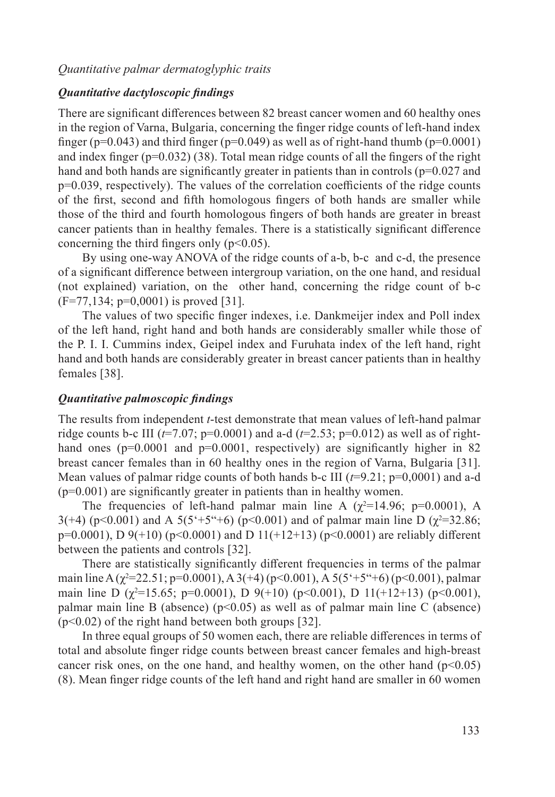#### *Quantitative palmar dermatoglyphic traits*

#### *Quantitative dactyloscopic findings*

There are significant differences between 82 breast cancer women and 60 healthy ones in the region of Varna, Bulgaria, concerning the finger ridge counts of left-hand index finger ( $p=0.043$ ) and third finger ( $p=0.049$ ) as well as of right-hand thumb ( $p=0.0001$ ) and index finger  $(p=0.032)$  (38). Total mean ridge counts of all the fingers of the right hand and both hands are significantly greater in patients than in controls (p=0.027 and р=0.039, respectively). The values of the correlation coefficients of the ridge counts of the first, second and fifth homologous fingers of both hands are smaller while those of the third and fourth homologous fingers of both hands are greater in breast cancer patients than in healthy females. There is a statistically significant difference concerning the third fingers only  $(p<0.05)$ .

By using one-way ANOVA of the ridge counts of a-b, b-c and c-d, the presence of a significant difference between intergroup variation, on the one hand, and residual (not explained) variation, on the other hand, concerning the ridge count of b-c  $(F=77,134; p=0,0001)$  is proved [31].

The values of two specific finger indexes, i.e. Dankmeijer index and Poll index of the left hand, right hand and both hands are considerably smaller while those of the P. I. I. Cummins index, Geipel index and Furuhata index of the left hand, right hand and both hands are considerably greater in breast cancer patients than in healthy females [38].

#### *Quantitative palmoscopic findings*

The results from independent *t*-test demonstrate that mean values of left-hand palmar ridge counts b-c III ( $t=7.07$ ; p=0.0001) and a-d ( $t=2.53$ ; p=0.012) as well as of righthand ones ( $p=0.0001$  and  $p=0.0001$ , respectively) are significantly higher in 82 breast cancer females than in 60 healthy ones in the region of Varna, Bulgaria [31]. Mean values of palmar ridge counts of both hands b-c III (*t*=9.21; p=0,0001) and a-d (p=0.001) are significantly greater in patients than in healthy women.

The frequencies of left-hand palmar main line A ( $\chi^2$ =14.96; p=0.0001), A 3(+4) (p<0.001) and A 5(5<sup>\*</sup>+5<sup>\*</sup>+6) (p<0.001) and of palmar main line D ( $\chi$ <sup>2</sup>=32.86;  $p=0.0001$ ), D  $9(+10)$  ( $p<0.0001$ ) and D  $11(+12+13)$  ( $p<0.0001$ ) are reliably different between the patients and controls [32].

There are statistically significantly different frequencies in terms of the palmar main line A ( $\chi^2$ =22.51; p=0.0001), A 3(+4) (p<0.001), A 5(5°+5°+6) (p<0.001), palmar main line D ( $\chi^2$ =15.65; p=0.0001), D 9(+10) (p<0.001), D 11(+12+13) (p<0.001), palmar main line B (absence) ( $p$ <0.05) as well as of palmar main line C (absence)  $(p<0.02)$  of the right hand between both groups [32].

In three equal groups of 50 women each, there are reliable differences in terms of total and absolute finger ridge counts between breast cancer females and high-breast cancer risk ones, on the one hand, and healthy women, on the other hand  $(p<0.05)$ (8). Mean finger ridge counts of the left hand and right hand are smaller in 60 women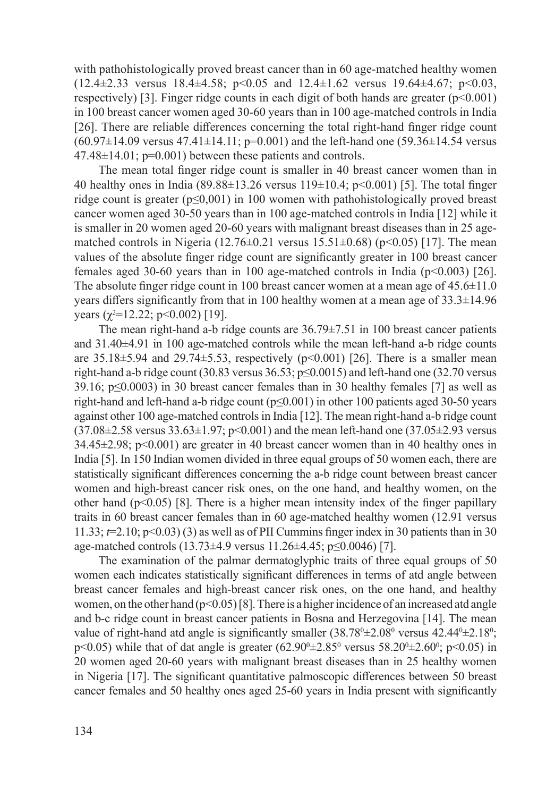with pathohistologically proved breast cancer than in 60 age-matched healthy women  $(12.4\pm 2.33 \text{ versus } 18.4\pm 4.58; \text{ p} < 0.05 \text{ and } 12.4\pm 1.62 \text{ versus } 19.64\pm 4.67; \text{ p} < 0.03,$ respectively) [3]. Finger ridge counts in each digit of both hands are greater  $(p<0.001)$ in 100 breast cancer women aged 30-60 years than in 100 age-matched controls in India [26]. There are reliable differences concerning the total right-hand finger ridge count  $(60.97\pm14.09 \text{ versus } 47.41\pm14.11; \text{p} = 0.001)$  and the left-hand one  $(59.36\pm14.54 \text{ versus } 1.09 \text{ versus } 1.09)$  $47.48\pm14.01$ ; p=0.001) between these patients and controls.

The mean total finger ridge count is smaller in 40 breast cancer women than in 40 healthy ones in India (89.88±13.26 versus 119±10.4; p<0.001) [5]. The total finger ridge count is greater (р≤0,001) in 100 women with pathohistologically proved breast cancer women aged 30-50 years than in 100 age-matched controls in India [12] while it is smaller in 20 women aged 20-60 years with malignant breast diseases than in 25 agematched controls in Nigeria (12.76 $\pm$ 0.21 versus 15.51 $\pm$ 0.68) (p<0.05) [17]. The mean values of the absolute finger ridge count are significantly greater in 100 breast cancer females aged 30-60 years than in 100 age-matched controls in India (p<0.003) [26]. The absolute finger ridge count in 100 breast cancer women at a mean age of  $45.6 \pm 11.0$ years differs significantly from that in 100 healthy women at a mean age of 33.3±14.96 years  $(\chi^2=12.22; p<0.002)$  [19].

The mean right-hand a-b ridge counts are 36.79±7.51 in 100 breast cancer patients and 31.40±4.91 in 100 age-matched controls while the mean left-hand a-b ridge counts are  $35.18\pm5.94$  and  $29.74\pm5.53$ , respectively (p<0.001) [26]. There is a smaller mean right-hand a-b ridge count (30.83 versus 36.53;  $p \le 0.0015$ ) and left-hand one (32.70 versus 39.16;  $p \le 0.0003$ ) in 30 breast cancer females than in 30 healthy females [7] as well as right-hand and left-hand a-b ridge count ( $p \le 0.001$ ) in other 100 patients aged 30-50 years against other 100 age-matched controls in India [12]. The mean right-hand a-b ridge count (37.08±2.58 versus 33.63±1.97; p<0.001) and the mean left-hand one (37.05±2.93 versus  $34.45\pm2.98$ ; p<0.001) are greater in 40 breast cancer women than in 40 healthy ones in India [5]. In 150 Indian women divided in three equal groups of 50 women each, there are statistically significant differences concerning the a-b ridge count between breast cancer women and high-breast cancer risk ones, on the one hand, and healthy women, on the other hand  $(p<0.05)$  [8]. There is a higher mean intensity index of the finger papillary traits in 60 breast cancer females than in 60 age-matched healthy women (12.91 versus 11.33; *t*=2.10; р<0.03) (3) as well as of PII Cummins finger index in 30 patients than in 30 age-matched controls (13.73±4.9 versus 11.26±4.45; р≤0.0046) [7].

The examination of the palmar dermatoglyphic traits of three equal groups of 50 women each indicates statistically significant differences in terms of atd angle between breast cancer females and high-breast cancer risk ones, on the one hand, and healthy women, on the other hand  $(p<0.05)$  [8]. There is a higher incidence of an increased atd angle and b-c ridge count in breast cancer patients in Bosna and Herzegovina [14]. The mean value of right-hand atd angle is significantly smaller  $(38.78^{\circ} \pm 2.08^{\circ}$  versus  $42.44^{\circ} \pm 2.18^{\circ}$ ; p<0.05) while that of dat angle is greater  $(62.90^{\circ} \pm 2.85^{\circ}$  versus  $58.20^{\circ} \pm 2.60^{\circ}$ ; p<0.05) in 20 women aged 20-60 years with malignant breast diseases than in 25 healthy women in Nigeria [17]. The significant quantitative palmoscopic differences between 50 breast cancer females and 50 healthy ones aged 25-60 years in India present with significantly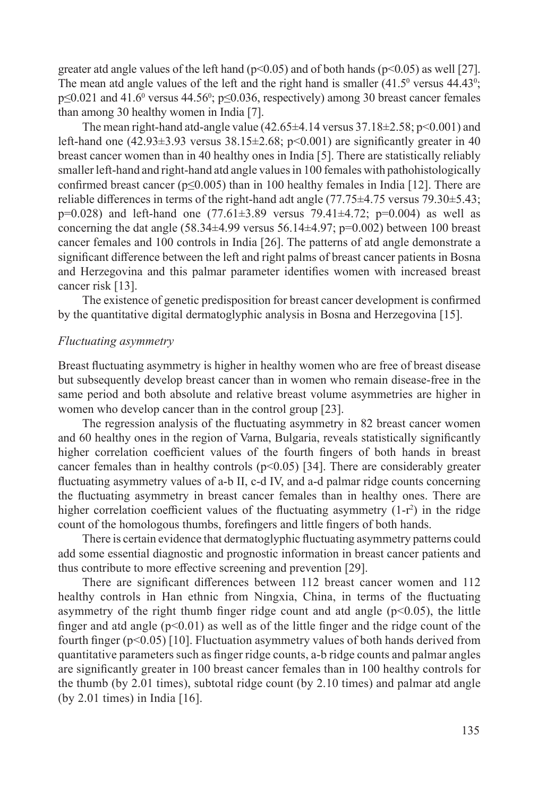greater atd angle values of the left hand  $(p<0.05)$  and of both hands  $(p<0.05)$  as well [27]. The mean atd angle values of the left and the right hand is smaller  $(41.5^{\circ}$  versus  $44.43^{\circ}$ ;  $p \le 0.021$  and  $41.6^{\circ}$  versus  $44.56^{\circ}$ ;  $p \le 0.036$ , respectively) among 30 breast cancer females than among 30 healthy women in India [7].

The mean right-hand atd-angle value  $(42.65\pm4.14 \text{ versus } 37.18\pm2.58; \text{ p} < 0.001)$  and left-hand one  $(42.93\pm3.93$  versus  $38.15\pm2.68$ ; p<0.001) are significantly greater in 40 breast cancer women than in 40 healthy ones in India [5]. There are statistically reliably smaller left-hand and right-hand atd angle values in 100 females with pathohistologically confirmed breast cancer ( $p \le 0.005$ ) than in 100 healthy females in India [12]. There are reliable differences in terms of the right-hand adt angle (77.75±4.75 versus 79.30±5.43;  $p=0.028$ ) and left-hand one (77.61 $\pm$ 3.89 versus 79.41 $\pm$ 4.72; p=0.004) as well as concerning the dat angle  $(58.34\pm4.99 \text{ versus } 56.14\pm4.97; \text{p} = 0.002)$  between 100 breast cancer females and 100 controls in India [26]. The patterns of atd angle demonstrate a significant difference between the left and right palms of breast cancer patients in Bosna and Herzegovina and this palmar parameter identifies women with increased breast cancer risk [13].

The existence of genetic predisposition for breast cancer development is confirmed by the quantitative digital dermatoglyphic analysis in Bosna and Herzegovina [15].

#### *Fluctuating asymmetry*

Breast fluctuating asymmetry is higher in healthy women who are free of breast disease but subsequently develop breast cancer than in women who remain disease-free in the same period and both absolute and relative breast volume asymmetries are higher in women who develop cancer than in the control group [23].

The regression analysis of the fluctuating asymmetry in 82 breast cancer women and 60 healthy ones in the region of Varna, Bulgaria, reveals statistically significantly higher correlation coefficient values of the fourth fingers of both hands in breast cancer females than in healthy controls  $(p<0.05)$  [34]. There are considerably greater fluctuating asymmetry values of a-b II, c-d IV, and a-d palmar ridge counts concerning the fluctuating asymmetry in breast cancer females than in healthy ones. There are higher correlation coefficient values of the fluctuating asymmetry  $(1-r^2)$  in the ridge count of the homologous thumbs, forefingers and little fingers of both hands.

There is certain evidence that dermatoglyphic fluctuating asymmetry patterns could add some essential diagnostic and prognostic information in breast cancer patients and thus contribute to more effective screening and prevention [29].

There are significant differences between 112 breast cancer women and 112 healthy controls in Han ethnic from Ningxia, China, in terms of the fluctuating asymmetry of the right thumb finger ridge count and atd angle  $(p<0.05)$ , the little finger and atd angle  $(p<0.01)$  as well as of the little finger and the ridge count of the fourth finger  $(p<0.05)$  [10]. Fluctuation asymmetry values of both hands derived from quantitative parameters such as finger ridge counts, a-b ridge counts and palmar angles are significantly greater in 100 breast cancer females than in 100 healthy controls for the thumb (by 2.01 times), subtotal ridge count (by 2.10 times) and palmar atd angle (by 2.01 times) in India [16].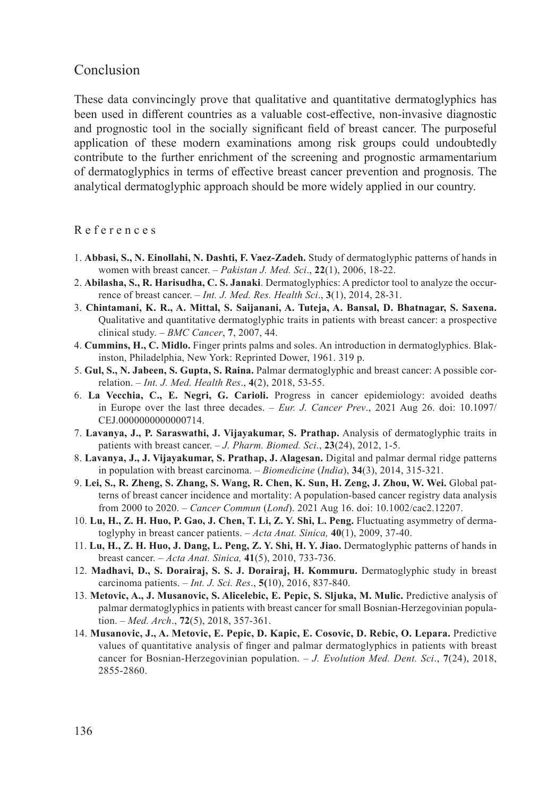## Conclusion

These data convincingly prove that qualitative and quantitative dermatoglyphics has been used in different countries as a valuable cost-effective, non-invasive diagnostic and prognostic tool in the socially significant field of breast cancer. The purposeful application of these modern examinations among risk groups could undoubtedly contribute to the further enrichment of the screening and prognostic armamentarium of dermatoglyphics in terms of effective breast cancer prevention and prognosis. The analytical dermatoglyphic approach should be more widely applied in our country.

#### R e f e r e n c e s

- 1. **Abbasi, S., N. Einollahi, N. Dashti, F. Vaez-Zadeh.** Study of dermatoglyphic patterns of hands in women with breast cancer. – *Pakistan J. Med. Sci*., **22**(1), 2006, 18-22.
- 2. **Abilasha, S., R. Harisudha, C. S. Janaki**. Dermatoglyphics: A predictor tool to analyze the occurrence of breast cancer. – *Int. J. Med. Res. Health Sci*., **3**(1), 2014, 28-31.
- 3. **Chintamani, K. R., A. Mittal, S. Saijanani, A. Tuteja, A. Bansal, D. Bhatnagar, S. Saxena.**  Qualitative and quantitative dermatoglyphic traits in patients with breast cancer: a prospective clinical study. – *BMC Cancer*, **7**, 2007, 44.
- 4. **Cummins, H., C. Midlo.** Finger prints palms and soles. An introduction in dermatoglyphics. Blakinston, Philadelphia, New York: Reprinted Dower, 1961. 319 p.
- 5. **Gul, S., N. Jabeen, S. Gupta, S. Raina.** Palmar dermatoglyphic and breast cancer: A possible correlation. – *Int. J. Med. Health Res*., **4**(2), 2018, 53-55.
- 6. **La Vecchia, C., E. Negri, G. Carioli.** Progress in cancer epidemiology: avoided deaths in Europe over the last three decades. – *Eur. J. Cancer Prev*., 2021 Aug 26. doi: 10.1097/ CEJ.0000000000000714.
- 7. **Lavanya, J., P. Saraswathi, J. Vijayakumar, S. Prathap.** Analysis of dermatoglyphic traits in patients with breast cancer. – *J. Pharm. Biomed. Sci*., **23**(24), 2012, 1-5.
- 8. **Lavanya, J., J. Vijayakumar, S. Prathap, J. Alagesan.** Digital and palmar dermal ridge patterns in population with breast carcinoma. – *Biomedicine* (*India*), **34**(3), 2014, 315-321.
- 9. **Lei, S., R. Zheng, S. Zhang, S. Wang, R. Chen, K. Sun, H. Zeng, J. Zhou, W. Wei.** Global patterns of breast cancer incidence and mortality: A population-based cancer registry data analysis from 2000 to 2020. – *Cancer Commun* (*Lond*). 2021 Aug 16. doi: 10.1002/cac2.12207.
- 10. **Lu, H., Z. H. Huo, P. Gao, J. Chen, T. Li, Z. Y. Shi, L. Peng.** Fluctuating asymmetry of dermatoglyphy in breast cancer patients. – *Acta Anat. Sinica,* **40**(1), 2009, 37-40.
- 11. **Lu, H., Z. H. Huo, J. Dang, L. Peng, Z. Y. Shi, H. Y. Jiao.** Dermatoglyphic patterns of hands in breast cancer. – *Acta Anat. Sinica,* **41**(5), 2010, 733-736.
- 12. **Madhavi, D., S. Dorairaj, S. S. J. Dorairaj, H. Kommuru.** Dermatoglyphic study in breast carcinoma patients. – *Int. J. Sci. Res*., **5(**10), 2016, 837-840.
- 13. **Metovic, A., J. Musanovic, S. Alicelebic, E. Pepic, S. Sljuka, M. Mulic.** Predictive analysis of palmar dermatoglyphics in patients with breast cancer for small Bosnian-Herzegovinian population. – *Med. Arch*., **72**(5), 2018, 357-361.
- 14. **Musanovic, J., A. Metovic, E. Pepic, D. Kapic, E. Cosovic, D. Rebic, O. Lepara.** Predictive values of quantitative analysis of finger and palmar dermatoglyphics in patients with breast cancer for Bosnian-Herzegovinian population. – *J. Evolution Med. Dent. Sci*., **7**(24), 2018, 2855-2860.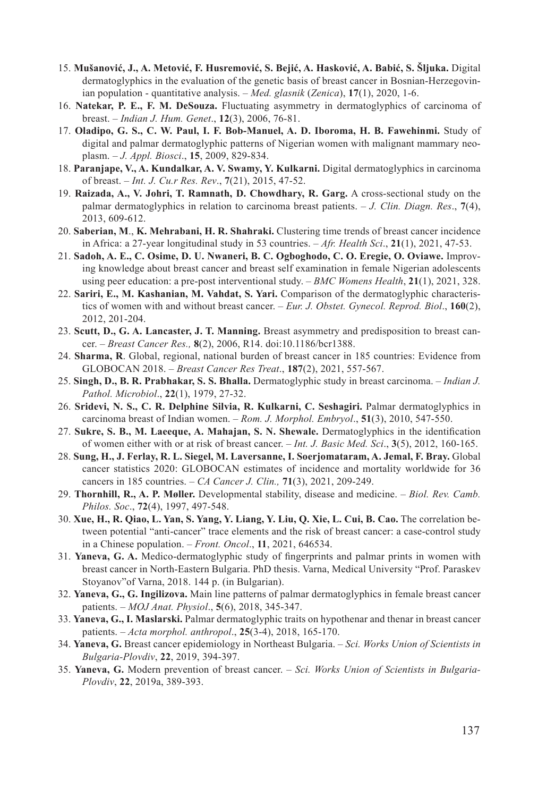- 15. **Mušanović, J., A. Metović, F. Husremović, S. Bejić, A. Hasković, A. Babić, S. Šljuka.** Digital dermatoglyphics in the evaluation of the genetic basis of breast cancer in Bosnian-Herzegovinian population - quantitative analysis. – *Med. glasnik* (*Zenica*), **17**(1), 2020, 1-6.
- 16. **Natekar, P. E., F. M. DeSouza.** Fluctuating asymmetry in dermatoglyphics of carcinoma of breast. – *Indian J. Hum. Genet*., **12**(3), 2006, 76-81.
- 17. **Oladipo, G. S., C. W. Paul, I. F. Bob-Manuel, A. D. Iboroma, H. B. Fawehinmi.** Study of digital and palmar dermatoglyphic patterns of Nigerian women with malignant mammary neoplasm. – *J. Appl. Biosci*., **15**, 2009, 829-834.
- 18. **Paranjape, V., A. Kundalkar, A. V. Swamy, Y. Kulkarni.** Digital dermatoglyphics in carcinoma of breast. – *Int. J. Cu.r Res. Rev*., **7**(21), 2015, 47-52.
- 19. **Raizada, A., V. Johri, T. Ramnath, D. Chowdhary, R. Garg.** A cross-sectional study on the palmar dermatoglyphics in relation to carcinoma breast patients. – *J. Clin. Diagn. Res*., **7**(4), 2013, 609-612.
- 20. **Saberian, M**., **K. Mehrabani, H. R. Shahraki.** Clustering time trends of breast cancer incidence in Africa: a 27-year longitudinal study in 53 countries. – *Afr. Health Sci*., **21**(1), 2021, 47-53.
- 21. **Sadoh, A. E., C. Osime, D. U. Nwaneri, B. C. Ogboghodo, C. O. Eregie, O. Oviawe.** Improving knowledge about breast cancer and breast self examination in female Nigerian adolescents using peer education: a pre-post interventional study. – *BMC Womens Health*, **21**(1), 2021, 328.
- 22. **Sariri, E., M. Kashanian, M. Vahdat, S. Yari.** Comparison of the dermatoglyphic characteristics of women with and without breast cancer. – *Eur. J. Obstet. Gynecol. Reprod. Biol*., **160**(2), 2012, 201-204.
- 23. **Scutt, D., G. A. Lancaster, J. T. Manning.** Breast asymmetry and predisposition to breast cancer. – *Breast Cancer Res.,* **8**(2), 2006, R14. doi:10.1186/bcr1388.
- 24. **Sharma, R**. Global, regional, national burden of breast cancer in 185 countries: Evidence from GLOBOCAN 2018. – *Breast Cancer Res Treat*., **187**(2), 2021, 557-567.
- 25. **Singh, D., B. R. Prabhakar, S. S. Bhalla.** Dermatoglyphic study in breast carcinoma. *Indian J. Pathol. Microbiol*., **22**(1), 1979, 27-32.
- 26. **Sridevi, N. S., C. R. Delphine Silvia, R. Kulkarni, C. Seshagiri.** Palmar dermatoglyphics in carcinoma breast of Indian women. – *Rom. J. Morphol. Embryol*., **51**(3), 2010, 547-550.
- 27. **Sukre, S. B., M. Laeeque, A. Mahajan, S. N. Shewale.** Dermatoglyphics in the identification of women either with or at risk of breast cancer. – *Int. J. Basic Med. Sci*., **3**(5), 2012, 160-165.
- 28. **Sung, H., J. Ferlay, R. L. Siegel, M. Laversanne, I. Soerjomataram, A. Jemal, F. Bray.** Global cancer statistics 2020: GLOBOCAN estimates of incidence and mortality worldwide for 36 cancers in 185 countries. – *CA Cancer J. Clin.,* **71**(3), 2021, 209-249.
- 29. **Thornhill, R., A. P. Møller.** Developmental stability, disease and medicine. *Biol. Rev. Camb. Philos. Soc*., **72**(4), 1997, 497-548.
- 30. **Xue, H., R. Qiao, L. Yan, S. Yang, Y. Liang, Y. Liu, Q. Xie, L. Cui, B. Cao.** The correlation between potential "anti-cancer" trace elements and the risk of breast cancer: a case-control study in a Chinese population. – *Front. Oncol*., **11**, 2021, 646534.
- 31. **Yaneva, G. A.** Medico-dermatoglyphic study of fingerprints and palmar prints in women with breast cancer in North-Eastern Bulgaria. PhD thesis. Varna, Medical University "Prof. Paraskev Stoyanov"of Varna, 2018. 144 p. (in Bulgarian).
- 32. **Yaneva, G., G. Ingilizova.** Main line patterns of palmar dermatoglyphics in female breast cancer patients. – *MOJ Anat. Physiol*., **5**(6), 2018, 345-347.
- 33. **Yaneva, G., I. Maslarski.** Palmar dermatoglyphic traits on hypothenar and thenar in breast cancer patients. – *Acta morphol. anthropol*., **25**(3-4), 2018, 165-170.
- 34. **Yaneva, G.** Breast cancer epidemiology in Northeast Bulgaria. *Sci. Works Union of Scientists in Bulgaria-Plovdiv*, **22**, 2019, 394-397.
- 35. **Yaneva, G.** Modern prevention of breast cancer. *Sci. Works Union of Scientists in Bulgaria-Plovdiv*, **22**, 2019a, 389-393.